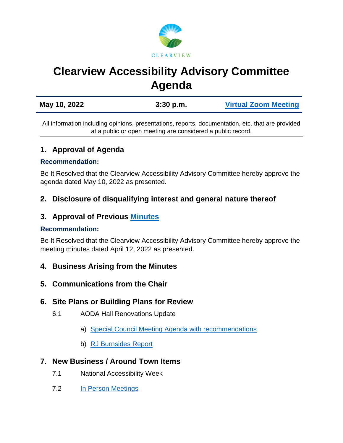

# **Clearview Accessibility Advisory Committee Agenda**

| May 10, 2022 | $3:30$ p.m. | <b>Virtual Zoom Meeting</b> |
|--------------|-------------|-----------------------------|
|              |             |                             |

All information including opinions, presentations, reports, documentation, etc. that are provided at a public or open meeting are considered a public record.

## **1. Approval of Agenda**

#### **Recommendation:**

Be It Resolved that the Clearview Accessibility Advisory Committee hereby approve the agenda dated May 10, 2022 as presented.

## **2. Disclosure of disqualifying interest and general nature thereof**

## **3. Approval of Previous [Minutes](https://www.clearview.ca/sites/default/files/uploads/publications/2022-04-12_clearview_accessibility_advisory_committee_minutes.pdf)**

#### **Recommendation:**

Be It Resolved that the Clearview Accessibility Advisory Committee hereby approve the meeting minutes dated April 12, 2022 as presented.

## **4. Business Arising from the Minutes**

## **5. Communications from the Chair**

## **6. Site Plans or Building Plans for Review**

- 6.1 AODA Hall Renovations Update
	- a) [Special Council Meeting Agenda with recommendations](https://www.clearview.ca/sites/default/files/uploads/publications/appendix_a_-_rj_burnsides_small_halls_proposed_renovations_feb_252022.pdf)
	- b) [RJ Burnsides Report](https://www.clearview.ca/sites/default/files/uploads/publications/appendix_a_-_rj_burnsides_small_halls_proposed_renovations_feb_252022.pdf)

## **7. New Business / Around Town Items**

- 7.1 National Accessibility Week
- 7.2 [In Person Meetings](https://www.clearview.ca/sites/default/files/uploads/publications/ls-010-2022_hybrid_in_person_council_meetings.pdf)